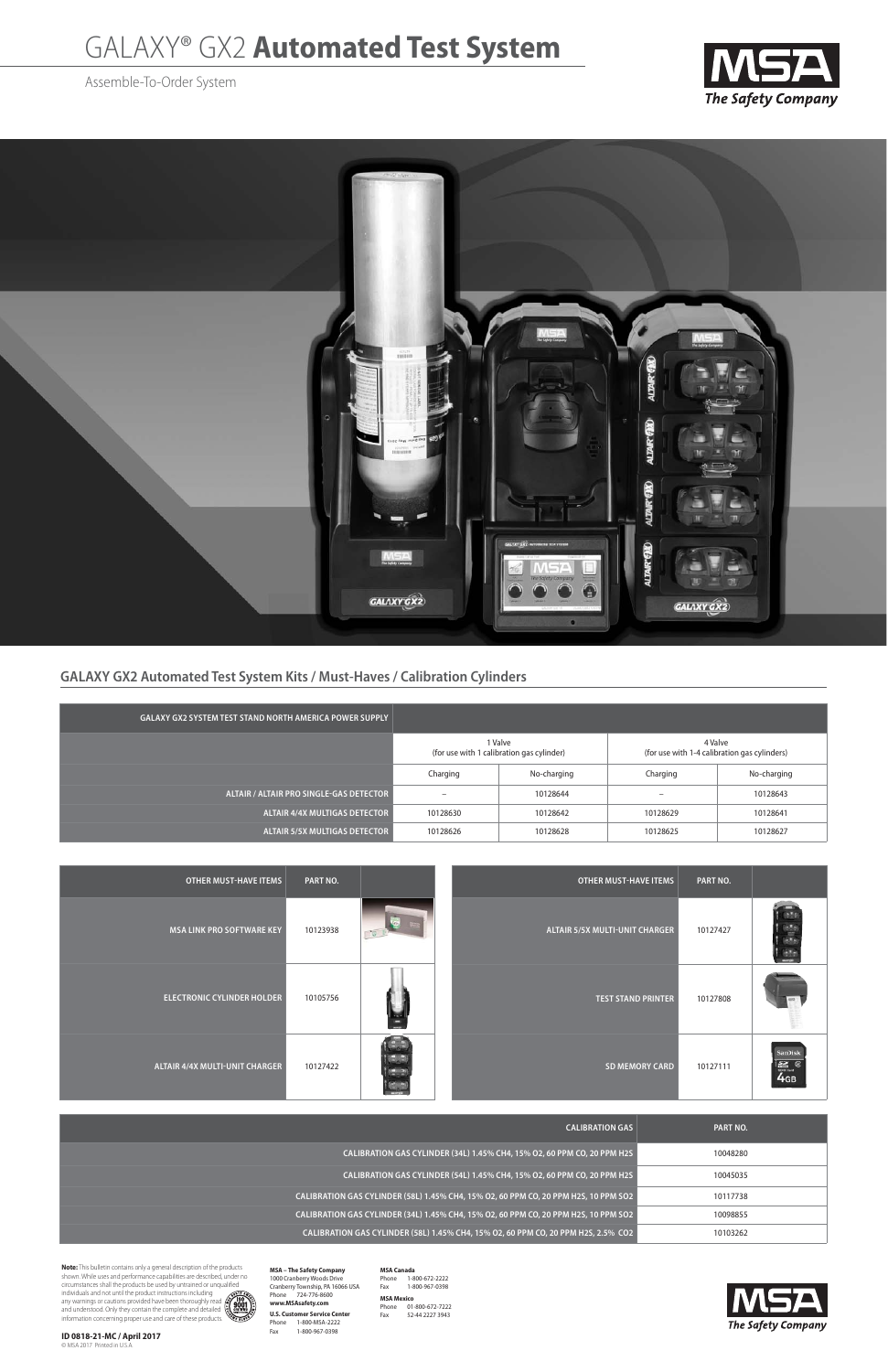## **GALAXY GX2 Automated Test System Kits / Must-Haves / Calibration Cylinders**

## GALAXY® GX2 **Automated Test System**

Assemble-To-Order System





| <b>OTHER MUST-HAVE ITEMS</b>      | PART NO. |     | OTHER MUST-HAVE ITEMS                 | PART NO. |  |
|-----------------------------------|----------|-----|---------------------------------------|----------|--|
| MSA LINK PRO SOFTWARE KEY         | 10123938 | TG. | <b>ALTAIR 5/5X MULTI-UNIT CHARGER</b> | 10127427 |  |
| <b>ELECTRONIC CYLINDER HOLDER</b> | 10105756 |     | <b>TEST STAND PRINTER</b>             | 10127808 |  |



| <b>CALIBRATION GAS</b>                                                              | PART NO. |
|-------------------------------------------------------------------------------------|----------|
| CALIBRATION GAS CYLINDER (34L) 1.45% CH4, 15% O2, 60 PPM CO, 20 PPM H2S             | 10048280 |
| CALIBRATION GAS CYLINDER (54L) 1.45% CH4, 15% O2, 60 PPM CO, 20 PPM H2S             | 10045035 |
| CALIBRATION GAS CYLINDER (58L) 1.45% CH4, 15% O2, 60 PPM CO, 20 PPM H2S, 10 PPM SO2 | 10117738 |
| CALIBRATION GAS CYLINDER (34L) 1.45% CH4, 15% O2, 60 PPM CO, 20 PPM H2S, 10 PPM SO2 | 10098855 |
| CALIBRATION GAS CYLINDER (58L) 1.45% CH4, 15% O2, 60 PPM CO, 20 PPM H2S, 2.5% CO2   | 10103262 |

**MSA – The Safety Company** 1000 Cranberry Woods Drive Cranberry Township, PA 16066 USA Phone 724-776-8600 **www.MSAsafety.com U.S. Customer Service Center<br>Phone 1-800-MSA-2222<br>Fax 1-800-967-0398** 

**MSA Canada**<br>Phone 1-800-672-2222<br>Fax 1-800-967-0398

| <b>GALAXY GX2 SYSTEM TEST STAND NORTH AMERICA POWER SUPPLY</b> |                                                      |             |                                                         |             |  |
|----------------------------------------------------------------|------------------------------------------------------|-------------|---------------------------------------------------------|-------------|--|
|                                                                | 1 Valve<br>(for use with 1 calibration gas cylinder) |             | 4 Valve<br>(for use with 1-4 calibration gas cylinders) |             |  |
|                                                                | Charging                                             | No-charging | Charging                                                | No-charging |  |
| ALTAIR / ALTAIR PRO SINGLE-GAS DETECTOR                        | $\overline{\phantom{0}}$                             | 10128644    | $\overline{\phantom{a}}$                                | 10128643    |  |
| <b>ALTAIR 4/4X MULTIGAS DETECTOR</b>                           | 10128630                                             | 10128642    | 10128629                                                | 10128641    |  |
| <b>ALTAIR 5/5X MULTIGAS DETECTOR</b>                           | 10128626                                             | 10128628    | 10128625                                                | 10128627    |  |

**Note:** This bulletin contains only a general description of the products shown. While uses and performance capabilities are described, under no circumstances shall the products be used by untrained or unqualified

individuals and not until the product instructions including<br>any warnings or cautions provided have been thoroughly read<br>and understood. Only they contain the complete and detailed<br>information concerning proper use and car

**ID 0818-21-MC / April 2017** © MSA 2017 Printed in U.S.A.

**MSA Mexico**  Phone 01-800-672-7222 Fax 52-44 2227 3943

The Safety Company